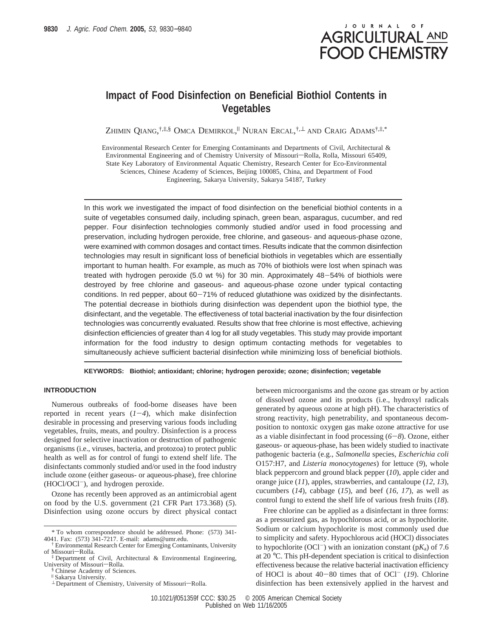# JOURNAL OF **AGRICULTURAL AND FOOD CHEMISTRY**

# **Impact of Food Disinfection on Beneficial Biothiol Contents in Vegetables**

Zhimin Qiang,†,‡,§ Omca Demirkol," Nuran Ercal,†,⊥ and Craig Adams†,‡,\*

Environmental Research Center for Emerging Contaminants and Departments of Civil, Architectural & Environmental Engineering and of Chemistry University of Missouri-Rolla, Rolla, Missouri 65409, State Key Laboratory of Environmental Aquatic Chemistry, Research Center for Eco-Environmental Sciences, Chinese Academy of Sciences, Beijing 100085, China, and Department of Food Engineering, Sakarya University, Sakarya 54187, Turkey

In this work we investigated the impact of food disinfection on the beneficial biothiol contents in a suite of vegetables consumed daily, including spinach, green bean, asparagus, cucumber, and red pepper. Four disinfection technologies commonly studied and/or used in food processing and preservation, including hydrogen peroxide, free chlorine, and gaseous- and aqueous-phase ozone, were examined with common dosages and contact times. Results indicate that the common disinfection technologies may result in significant loss of beneficial biothiols in vegetables which are essentially important to human health. For example, as much as 70% of biothiols were lost when spinach was treated with hydrogen peroxide (5.0 wt %) for 30 min. Approximately 48-54% of biothiols were destroyed by free chlorine and gaseous- and aqueous-phase ozone under typical contacting conditions. In red pepper, about  $60-71\%$  of reduced glutathione was oxidized by the disinfectants. The potential decrease in biothiols during disinfection was dependent upon the biothiol type, the disinfectant, and the vegetable. The effectiveness of total bacterial inactivation by the four disinfection technologies was concurrently evaluated. Results show that free chlorine is most effective, achieving disinfection efficiencies of greater than 4 log for all study vegetables. This study may provide important information for the food industry to design optimum contacting methods for vegetables to simultaneously achieve sufficient bacterial disinfection while minimizing loss of beneficial biothiols.

**KEYWORDS: Biothiol; antioxidant; chlorine; hydrogen peroxide; ozone; disinfection; vegetable**

# **INTRODUCTION**

Numerous outbreaks of food-borne diseases have been reported in recent years  $(1-4)$ , which make disinfection desirable in processing and preserving various foods including vegetables, fruits, meats, and poultry. Disinfection is a process designed for selective inactivation or destruction of pathogenic organisms (i.e., viruses, bacteria, and protozoa) to protect public health as well as for control of fungi to extend shelf life. The disinfectants commonly studied and/or used in the food industry include ozone (either gaseous- or aqueous-phase), free chlorine (HOCl/OCl-), and hydrogen peroxide.

Ozone has recently been approved as an antimicrobial agent on food by the U.S. government (21 CFR Part 173.368) (*5*). Disinfection using ozone occurs by direct physical contact

§ Chinese Academy of Sciences.

between microorganisms and the ozone gas stream or by action of dissolved ozone and its products (i.e., hydroxyl radicals generated by aqueous ozone at high pH). The characteristics of strong reactivity, high penetrability, and spontaneous decomposition to nontoxic oxygen gas make ozone attractive for use as a viable disinfectant in food processing (*6*-*8*). Ozone, either gaseous- or aqueous-phase, has been widely studied to inactivate pathogenic bacteria (e.g., *Salmonella* species, *Escherichia coli* O157:H7, and *Listeria monocytogenes*) for lettuce (*9*), whole black peppercorn and ground black pepper (*10*), apple cider and orange juice (*11*), apples, strawberries, and cantaloupe (*12*, *13*), cucumbers (*14*), cabbage (*15*), and beef (*16*, *17*), as well as control fungi to extend the shelf life of various fresh fruits (*18*).

Free chlorine can be applied as a disinfectant in three forms: as a pressurized gas, as hypochlorous acid, or as hypochlorite. Sodium or calcium hypochlorite is most commonly used due to simplicity and safety. Hypochlorous acid (HOCl) dissociates to hypochlorite (OCl<sup>-</sup>) with an ionization constant ( $pK_a$ ) of 7.6 at 20 °C. This pH-dependent speciation is critical to disinfection effectiveness because the relative bacterial inactivation efficiency of HOCl is about 40-80 times that of OCl- (*19*). Chlorine disinfection has been extensively applied in the harvest and

<sup>\*</sup> To whom correspondence should be addressed. Phone: (573) 341- 4041. Fax: (573) 341-7217. E-mail: adams@umr.edu.

<sup>†</sup> Environmental Research Center for Emerging Contaminants, University of Missouri-Rolla.

<sup>‡</sup> Department of Civil, Architectural & Environmental Engineering, University of Missouri-Rolla.

<sup>|</sup> Sakarya University.

 $\perp$  Department of Chemistry, University of Missouri-Rolla.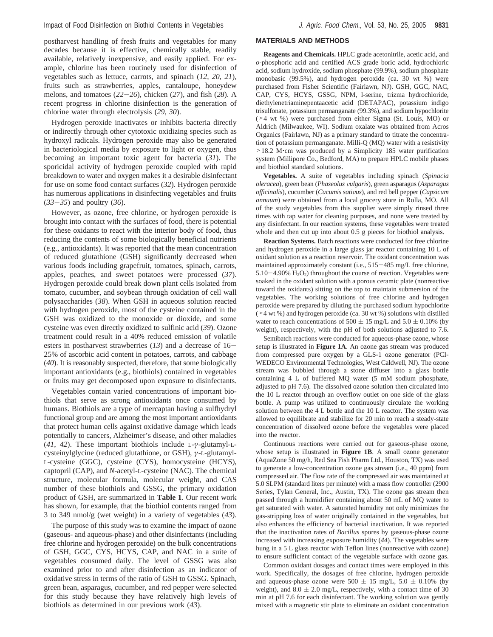postharvest handling of fresh fruits and vegetables for many decades because it is effective, chemically stable, readily available, relatively inexpensive, and easily applied. For example, chlorine has been routinely used for disinfection of vegetables such as lettuce, carrots, and spinach (*12*, *20*, *21*), fruits such as strawberries, apples, cantaloupe, honeydew melons, and tomatoes (*22*-*26*), chicken (*27*), and fish (*28*). A recent progress in chlorine disinfection is the generation of chlorine water through electrolysis (*29*, *30*).

Hydrogen peroxide inactivates or inhibits bacteria directly or indirectly through other cytotoxic oxidizing species such as hydroxyl radicals. Hydrogen peroxide may also be generated in bacteriological media by exposure to light or oxygen, thus becoming an important toxic agent for bacteria (*31*). The sporicidal activity of hydrogen peroxide coupled with rapid breakdown to water and oxygen makes it a desirable disinfectant for use on some food contact surfaces (*32*). Hydrogen peroxide has numerous applications in disinfecting vegetables and fruits (*33*-*35*) and poultry (*36*).

However, as ozone, free chlorine, or hydrogen peroxide is brought into contact with the surfaces of food, there is potential for these oxidants to react with the interior body of food, thus reducing the contents of some biologically beneficial nutrients (e.g., antioxidants). It was reported that the mean concentration of reduced glutathione (GSH) significantly decreased when various foods including grapefruit, tomatoes, spinach, carrots, apples, peaches, and sweet potatoes were processed (*37*). Hydrogen peroxide could break down plant cells isolated from tomato, cucumber, and soybean through oxidation of cell wall polysaccharides (*38*). When GSH in aqueous solution reacted with hydrogen peroxide, most of the cysteine contained in the GSH was oxidized to the monoxide or dioxide, and some cysteine was even directly oxidized to sulfinic acid (*39*). Ozone treatment could result in a 40% reduced emission of volatile esters in postharvest strawberries (*13*) and a decrease of 16- 25% of ascorbic acid content in potatoes, carrots, and cabbage (*40*). It is reasonably suspected, therefore, that some biologically important antioxidants (e.g., biothiols) contained in vegetables or fruits may get decomposed upon exposure to disinfectants.

Vegetables contain varied concentrations of important biothiols that serve as strong antioxidants once consumed by humans. Biothiols are a type of mercaptan having a sulfhydryl functional group and are among the most important antioxidants that protect human cells against oxidative damage which leads potentially to cancers, Alzheimer's disease, and other maladies (*41*, *42*). These important biothiols include L-*γ*-glutamyl-Lcysteinylglycine (reduced glutathione, or GSH), *γ*-L-glutamyl-L-cysteine (GGC), cysteine (CYS), homocysteine (HCYS), captopril (CAP), and *N*-acetyl-L-cysteine (NAC). The chemical structure, molecular formula, molecular weight, and CAS number of these biothiols and GSSG, the primary oxidation product of GSH, are summarized in **Table 1**. Our recent work has shown, for example, that the biothiol contents ranged from 3 to 349 nmol/g (wet weight) in a variety of vegetables (*43*).

The purpose of this study was to examine the impact of ozone (gaseous- and aqueous-phase) and other disinfectants (including free chlorine and hydrogen peroxide) on the bulk concentrations of GSH, GGC, CYS, HCYS, CAP, and NAC in a suite of vegetables consumed daily. The level of GSSG was also examined prior to and after disinfection as an indicator of oxidative stress in terms of the ratio of GSH to GSSG. Spinach, green bean, asparagus, cucumber, and red pepper were selected for this study because they have relatively high levels of biothiols as determined in our previous work (*43*).

## **MATERIALS AND METHODS**

**Reagents and Chemicals.** HPLC grade acetonitrile, acetic acid, and *o*-phosphoric acid and certified ACS grade boric acid, hydrochloric acid, sodium hydroxide, sodium phosphate (99.9%), sodium phosphate monobasic (99.5%), and hydrogen peroxide (ca. 30 wt %) were purchased from Fisher Scientific (Fairlawn, NJ). GSH, GGC, NAC, CAP, CYS, HCYS, GSSG, NPM, l-serine, trizma hydrochloride, diethylenetriaminepentaacetic acid (DETAPAC), potassium indigo trisulfonate, potassium permanganate (99.3%), and sodium hypochlorite (>4 wt %) were purchased from either Sigma (St. Louis, MO) or Aldrich (Milwaukee, WI). Sodium oxalate was obtained from Acros Organics (Fairlawn, NJ) as a primary standard to titrate the concentration of potassium permanganate. Milli-Q (MQ) water with a resistivity >18.2 M'cm was produced by a Simplicity 185 water purification system (Millipore Co., Bedford, MA) to prepare HPLC mobile phases and biothiol standard solutions.

**Vegetables.** A suite of vegetables including spinach (*Spinacia oleracea*), green bean (*Phaseolus* V*ulgaris*), green asparagus (*Asparagus*  $officialis$ ), cucumber (*Cucumis sativus*), and red bell pepper (*Capsicum annuum*) were obtained from a local grocery store in Rolla, MO. All of the study vegetables from this supplier were simply rinsed three times with tap water for cleaning purposes, and none were treated by any disinfectant. In our reaction systems, these vegetables were treated whole and then cut up into about 0.5 g pieces for biothiol analysis.

**Reaction Systems.** Batch reactions were conducted for free chlorine and hydrogen peroxide in a large glass jar reactor containing 10 L of oxidant solution as a reaction reservoir. The oxidant concentration was maintained approximately constant (i.e., 515-485 mg/L free chlorine,  $5.10-4.90\%$   $H_2O_2$ ) throughout the course of reaction. Vegetables were soaked in the oxidant solution with a porous ceramic plate (nonreactive toward the oxidants) sitting on the top to maintain submersion of the vegetables. The working solutions of free chlorine and hydrogen peroxide were prepared by diluting the purchased sodium hypochlorite (>4 wt %) and hydrogen peroxide (ca. 30 wt %) solutions with distilled water to reach concentrations of  $500 \pm 15$  mg/L and  $5.0 \pm 0.10$ % (by weight), respectively, with the pH of both solutions adjusted to 7.6.

Semibatch reactions were conducted for aqueous-phase ozone, whose setup is illustrated in **Figure 1A**. An ozone gas stream was produced from compressed pure oxygen by a GLS-1 ozone generator (PCI-WEDECO Environmental Technologies, West Caldwell, NJ). The ozone stream was bubbled through a stone diffuser into a glass bottle containing 4 L of buffered MQ water (5 mM sodium phosphate, adjusted to pH 7.6). The dissolved ozone solution then circulated into the 10 L reactor through an overflow outlet on one side of the glass bottle. A pump was utilized to continuously circulate the working solution between the 4 L bottle and the 10 L reactor. The system was allowed to equilibrate and stabilize for 20 min to reach a steady-state concentration of dissolved ozone before the vegetables were placed into the reactor.

Continuous reactions were carried out for gaseous-phase ozone, whose setup is illustrated in **Figure 1B**. A small ozone generator (AquaZone 50 mg/h, Red Sea Fish Pharm Ltd., Houston, TX) was used to generate a low-concentration ozone gas stream (i.e., 40 ppm) from compressed air. The flow rate of the compressed air was maintained at 5.0 SLPM (standard liters per minute) with a mass flow controller (2900 Series, Tylan General, Inc., Austin, TX). The ozone gas stream then passed through a humidifier containing about 50 mL of MQ water to get saturated with water. A saturated humidity not only minimizes the gas-stripping loss of water originally contained in the vegetables, but also enhances the efficiency of bacterial inactivation. It was reported that the inactivation rates of *Bacillus* spores by gaseous-phase ozone increased with increasing exposure humidity (*44*). The vegetables were hung in a 5 L glass reactor with Teflon lines (nonreactive with ozone) to ensure sufficient contact of the vegetable surface with ozone gas.

Common oxidant dosages and contact times were employed in this work. Specifically, the dosages of free chlorine, hydrogen peroxide and aqueous-phase ozone were  $500 \pm 15$  mg/L,  $5.0 \pm 0.10$ % (by weight), and  $8.0 \pm 2.0$  mg/L, respectively, with a contact time of 30 min at pH 7.6 for each disinfectant. The working solution was gently mixed with a magnetic stir plate to eliminate an oxidant concentration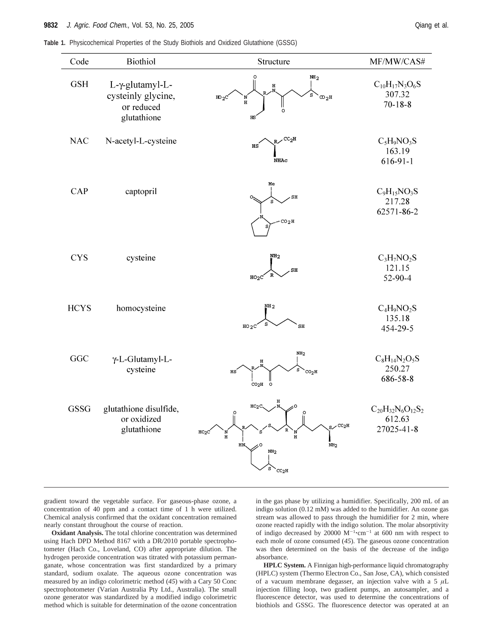| Code        | Biothiol                                                           | Structure                                                                                                                                                                                                     | MF/MW/CAS#                                         |
|-------------|--------------------------------------------------------------------|---------------------------------------------------------------------------------------------------------------------------------------------------------------------------------------------------------------|----------------------------------------------------|
| <b>GSH</b>  | L-γ-glutamyl-L-<br>cysteinly glycine,<br>or reduced<br>glutathione | NH <sub>2</sub><br>н<br>s<br>$\infty_2$ H<br>$^{110}2^C$<br>'N<br>$\, {\bf H}$<br>$\circ$<br>$_{\rm HS}$                                                                                                      | $C_{10}H_{17}N_3O_6S$<br>307.32<br>$70 - 18 - 8$   |
| <b>NAC</b>  | N-acetyl-L-cysteine                                                | $_{\tt R}$ $\sim$ $^{\tt CC}{\rm _2H}$<br>HS<br><b>NHAC</b>                                                                                                                                                   | $C_5H_9NO_3S$<br>163.19<br>$616-91-1$              |
| <b>CAP</b>  | captopril                                                          | Me<br>SH<br>CO <sub>2</sub> H                                                                                                                                                                                 | $C_9H_{15}NO_3S$<br>217.28<br>62571-86-2           |
| <b>CYS</b>  | cysteine                                                           | NH <sub>2</sub><br>SH<br>R<br>HO <sub>2</sub> C                                                                                                                                                               | $C_3H_7NO_2S$<br>121.15<br>52-90-4                 |
| <b>HCYS</b> | homocysteine                                                       | NH <sub>2</sub><br>S<br>$HO_2C$<br>$\mathbf{SH}$                                                                                                                                                              | $C_4H_9NO_2S$<br>135.18<br>454-29-5                |
| GGC         | γ-L-Glutamyl-L-<br>cysteine                                        | NH <sub>2</sub><br>н<br>s<br>$\overline{c}$ o <sub>2</sub> H<br>нs<br>CO <sub>2</sub> H<br>$\circ$                                                                                                            | $C_8H_{14}N_2O_5S$<br>250.27<br>686-58-8           |
| <b>GSSG</b> | glutathione disulfide,<br>or oxidized<br>glutathione               | HO <sub>2</sub> C<br>ပို<br>$\int_0^0$<br>$_{\rm S}$ / CC <sub>2</sub> H<br>HO <sub>2</sub> C<br>N<br>N<br>$\mathbf H$<br>$\, {\bf H}$<br>HN,<br>NH <sub>2</sub><br>$\texttt{NH}_2$<br>s<br>CC <sub>2</sub> H | $C_{20}H_{32}N_6O_{12}S_2$<br>612.63<br>27025-41-8 |

gradient toward the vegetable surface. For gaseous-phase ozone, a concentration of 40 ppm and a contact time of 1 h were utilized. Chemical analysis confirmed that the oxidant concentration remained nearly constant throughout the course of reaction.

**Oxidant Analysis.** The total chlorine concentration was determined using Hach DPD Method 8167 with a DR/2010 portable spectrophotometer (Hach Co., Loveland, CO) after appropriate dilution. The hydrogen peroxide concentration was titrated with potassium permanganate, whose concentration was first standardized by a primary standard, sodium oxalate. The aqueous ozone concentration was measured by an indigo colorimetric method (*45*) with a Cary 50 Conc spectrophotometer (Varian Australia Pty Ltd., Australia). The small ozone generator was standardized by a modified indigo colorimetric method which is suitable for determination of the ozone concentration in the gas phase by utilizing a humidifier. Specifically, 200 mL of an indigo solution (0.12 mM) was added to the humidifier. An ozone gas stream was allowed to pass through the humidifier for 2 min, where ozone reacted rapidly with the indigo solution. The molar absorptivity of indigo decreased by 20000  $M^{-1}$  cm<sup>-1</sup> at 600 nm with respect to each mole of ozone consumed  $(45)$ . The gaseous ozone concentration each mole of ozone consumed (*45*). The gaseous ozone concentration was then determined on the basis of the decrease of the indigo absorbance.

**HPLC System.** A Finnigan high-performance liquid chromatography (HPLC) system (Thermo Electron Co., San Jose, CA), which consisted of a vacuum membrane degasser, an injection valve with a 5 *µ*L injection filling loop, two gradient pumps, an autosampler, and a fluorescence detector, was used to determine the concentrations of biothiols and GSSG. The fluorescence detector was operated at an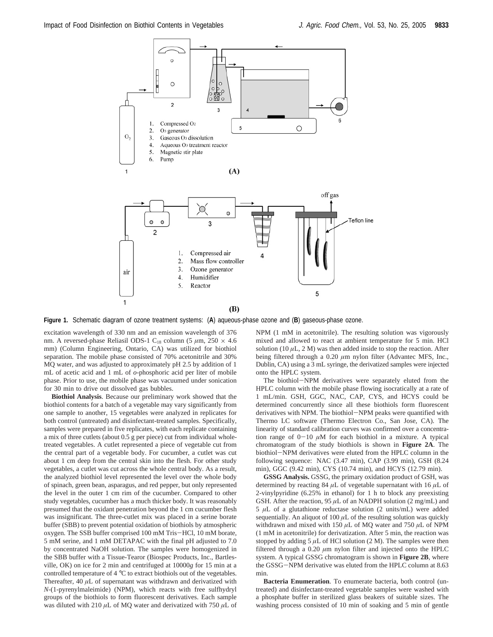

**Figure 1.** Schematic diagram of ozone treatment systems: (**A**) aqueous-phase ozone and (**B**) gaseous-phase ozone.

excitation wavelength of 330 nm and an emission wavelength of 376 nm. A reversed-phase Reliasil ODS-1 C18 column (5 *µ*m, 250 × 4.6 mm) (Column Engineering, Ontario, CA) was utilized for biothiol separation. The mobile phase consisted of 70% acetonitrile and 30% MQ water, and was adjusted to approximately pH 2.5 by addition of 1 mL of acetic acid and 1 mL of *o*-phosphoric acid per liter of mobile phase. Prior to use, the mobile phase was vacuumed under sonication for 30 min to drive out dissolved gas bubbles.

**Biothiol Analysis**. Because our preliminary work showed that the biothiol contents for a batch of a vegetable may vary significantly from one sample to another, 15 vegetables were analyzed in replicates for both control (untreated) and disinfectant-treated samples. Specifically, samples were prepared in five replicates, with each replicate containing a mix of three cutlets (about 0.5 g per piece) cut from individual wholetreated vegetables. A cutlet represented a piece of vegetable cut from the central part of a vegetable body. For cucumber, a cutlet was cut about 1 cm deep from the central skin into the flesh. For other study vegetables, a cutlet was cut across the whole central body. As a result, the analyzed biothiol level represented the level over the whole body of spinach, green bean, asparagus, and red pepper, but only represented the level in the outer 1 cm rim of the cucumber. Compared to other study vegetables, cucumber has a much thicker body. It was reasonably presumed that the oxidant penetration beyond the 1 cm cucumber flesh was insignificant. The three-cutlet mix was placed in a serine borate buffer (SBB) to prevent potential oxidation of biothiols by atmospheric oxygen. The SSB buffer comprised 100 mM Tris-HCl, 10 mM borate, 5 mM serine, and 1 mM DETAPAC with the final pH adjusted to 7.0 by concentrated NaOH solution. The samples were homogenized in the SBB buffer with a Tissue-Tearor (Biospec Products, Inc., Bartlesville, OK) on ice for 2 min and centrifuged at 10000*g* for 15 min at a controlled temperature of 4 °C to extract biothiols out of the vegetables. Thereafter, 40  $\mu$ L of supernatant was withdrawn and derivatized with *N*-(1-pyrenylmaleimide) (NPM), which reacts with free sulfhydryl groups of the biothiols to form fluorescent derivatives. Each sample was diluted with 210 *µ*L of MQ water and derivatized with 750 *µ*L of NPM (1 mM in acetonitrile). The resulting solution was vigorously mixed and allowed to react at ambient temperature for 5 min. HCl solution (10  $\mu$ L, 2 M) was then added inside to stop the reaction. After being filtered through a 0.20 *µ*m nylon filter (Advantec MFS, Inc., Dublin, CA) using a 3 mL syringe, the derivatized samples were injected onto the HPLC system.

The biothiol-NPM derivatives were separately eluted from the HPLC column with the mobile phase flowing isocratically at a rate of 1 mL/min. GSH, GGC, NAC, CAP, CYS, and HCYS could be determined concurrently since all these biothiols form fluorescent derivatives with NPM. The biothiol-NPM peaks were quantified with Thermo LC software (Thermo Electron Co., San Jose, CA). The linearity of standard calibration curves was confirmed over a concentration range of  $0-10 \mu M$  for each biothiol in a mixture. A typical chromatogram of the study biothiols is shown in **Figure 2A**. The biothiol-NPM derivatives were eluted from the HPLC column in the following sequence: NAC (3.47 min), CAP (3.99 min), GSH (8.24 min), GGC (9.42 min), CYS (10.74 min), and HCYS (12.79 min).

**GSSG Analysis.** GSSG, the primary oxidation product of GSH, was determined by reacting 84  $\mu$ L of vegetable supernatant with 16  $\mu$ L of 2-vinylpyridine (6.25% in ethanol) for 1 h to block any preexisting GSH. After the reaction, 95  $\mu$ L of an NADPH solution (2 mg/mL) and  $5 \mu L$  of a glutathione reductase solution (2 units/mL) were added sequentially. An aliquot of 100  $\mu$ L of the resulting solution was quickly withdrawn and mixed with 150 *µ*L of MQ water and 750 *µ*L of NPM (1 mM in acetonitrile) for derivatization. After 5 min, the reaction was stopped by adding  $5 \mu L$  of HCl solution (2 M). The samples were then filtered through a 0.20 *µ*m nylon filter and injected onto the HPLC system. A typical GSSG chromatogram is shown in **Figure 2B**, where the GSSG-NPM derivative was eluted from the HPLC column at 8.63 min.

**Bacteria Enumeration**. To enumerate bacteria, both control (untreated) and disinfectant-treated vegetable samples were washed with a phosphate buffer in sterilized glass beakers of suitable sizes. The washing process consisted of 10 min of soaking and 5 min of gentle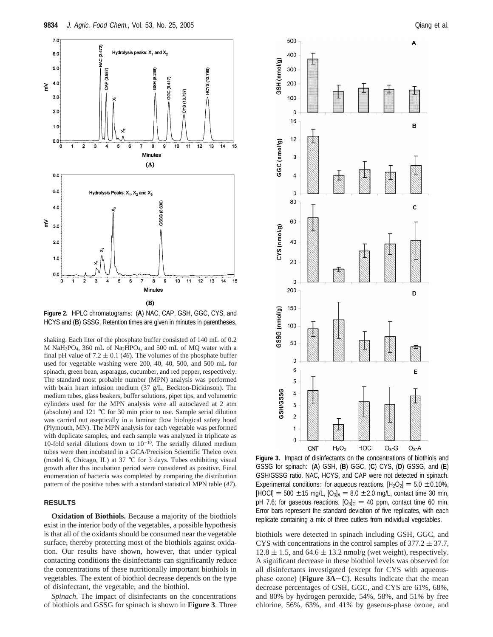

**Figure 2.** HPLC chromatograms: (**A**) NAC, CAP, GSH, GGC, CYS, and HCYS and (**B**) GSSG. Retention times are given in minutes in parentheses.

shaking. Each liter of the phosphate buffer consisted of 140 mL of 0.2 M NaH<sub>2</sub>PO<sub>4</sub>, 360 mL of Na<sub>2</sub>HPO<sub>4</sub>, and 500 mL of MQ water with a final pH value of  $7.2 \pm 0.1$  (46). The volumes of the phosphate buffer used for vegetable washing were 200, 40, 40, 500, and 500 mL for spinach, green bean, asparagus, cucumber, and red pepper, respectively. The standard most probable number (MPN) analysis was performed with brain heart infusion medium (37 g/L, Beckton-Dickinson). The medium tubes, glass beakers, buffer solutions, pipet tips, and volumetric cylinders used for the MPN analysis were all autoclaved at 2 atm (absolute) and 121 °C for 30 min prior to use. Sample serial dilution was carried out aseptically in a laminar flow biological safety hood (Plymouth, MN). The MPN analysis for each vegetable was performed with duplicate samples, and each sample was analyzed in triplicate as 10-fold serial dilutions down to  $10^{-10}$ . The serially diluted medium tubes were then incubated in a GCA/Precision Scientific Thelco oven (model 6, Chicago, IL) at 37 °C for 3 days. Tubes exhibiting visual growth after this incubation period were considered as positive. Final enumeration of bacteria was completed by comparing the distribution pattern of the positive tubes with a standard statistical MPN table (*47*).

# **RESULTS**

**Oxidation of Biothiols.** Because a majority of the biothiols exist in the interior body of the vegetables, a possible hypothesis is that all of the oxidants should be consumed near the vegetable surface, thereby protecting most of the biothiols against oxidation. Our results have shown, however, that under typical contacting conditions the disinfectants can significantly reduce the concentrations of these nutritionally important biothiols in vegetables. The extent of biothiol decrease depends on the type of disinfectant, the vegetable, and the biothiol.

*Spinach*. The impact of disinfectants on the concentrations of biothiols and GSSG for spinach is shown in **Figure 3**. Three



**Figure 3.** Impact of disinfectants on the concentrations of biothiols and GSSG for spinach: (**A**) GSH, (**B**) GGC, (**C**) CYS, (**D**) GSSG, and (**E**) GSH/GSSG ratio. NAC, HCYS, and CAP were not detected in spinach. Experimental conditions: for aqueous reactions,  $[H_2O_2] = 5.0 \pm 0.10\%$ ,  $[HOCI] = 500 \pm 15$  mg/L,  $[O_3]_A = 8.0 \pm 2.0$  mg/L, contact time 30 min, pH 7.6; for gaseous reactions,  $[O_3]_G = 40$  ppm, contact time 60 min. Error bars represent the standard deviation of five replicates, with each replicate containing a mix of three cutlets from individual vegetables.

biothiols were detected in spinach including GSH, GGC, and CYS with concentrations in the control samples of  $377.2 \pm 37.7$ ,  $12.8 \pm 1.5$ , and  $64.6 \pm 13.2$  nmol/g (wet weight), respectively. A significant decrease in these biothiol levels was observed for all disinfectants investigated (except for CYS with aqueousphase ozone) (**Figure 3A**-**C**). Results indicate that the mean decrease percentages of GSH, GGC, and CYS are 61%, 68%, and 80% by hydrogen peroxide, 54%, 58%, and 51% by free chlorine, 56%, 63%, and 41% by gaseous-phase ozone, and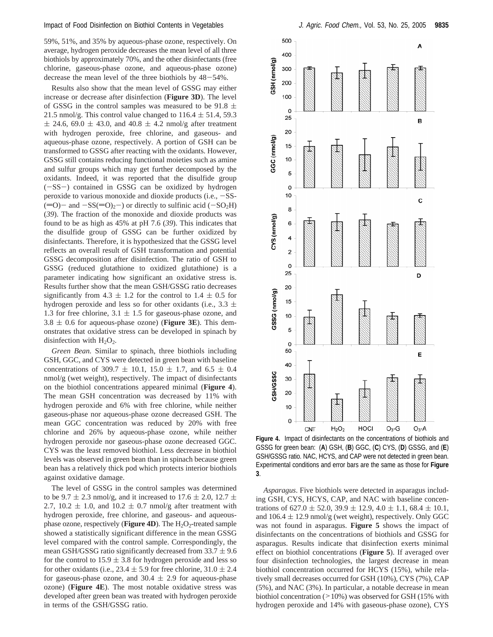59%, 51%, and 35% by aqueous-phase ozone, respectively. On average, hydrogen peroxide decreases the mean level of all three biothiols by approximately 70%, and the other disinfectants (free chlorine, gaseous-phase ozone, and aqueous-phase ozone) decrease the mean level of the three biothiols by 48-54%.

Results also show that the mean level of GSSG may either increase or decrease after disinfection (**Figure 3D**). The level of GSSG in the control samples was measured to be  $91.8 \pm$ 21.5 nmol/g. This control value changed to  $116.4 \pm 51.4$ , 59.3  $\pm$  24.6, 69.0  $\pm$  43.0, and 40.8  $\pm$  4.2 nmol/g after treatment with hydrogen peroxide, free chlorine, and gaseous- and aqueous-phase ozone, respectively. A portion of GSH can be transformed to GSSG after reacting with the oxidants. However, GSSG still contains reducing functional moieties such as amine and sulfur groups which may get further decomposed by the oxidants. Indeed, it was reported that the disulfide group  $(-SS-)$  contained in GSSG can be oxidized by hydrogen peroxide to various monoxide and dioxide products (i.e.,  $-SS (=0)$  and  $-SS(=0)_2$ ) or directly to sulfinic acid ( $-SO_2H$ ) (*39*). The fraction of the monoxide and dioxide products was found to be as high as 45% at pH 7.6 (*39*). This indicates that the disulfide group of GSSG can be further oxidized by disinfectants. Therefore, it is hypothesized that the GSSG level reflects an overall result of GSH transformation and potential GSSG decomposition after disinfection. The ratio of GSH to GSSG (reduced glutathione to oxidized glutathione) is a parameter indicating how significant an oxidative stress is. Results further show that the mean GSH/GSSG ratio decreases significantly from 4.3  $\pm$  1.2 for the control to 1.4  $\pm$  0.5 for hydrogen peroxide and less so for other oxidants (i.e.,  $3.3 \pm$ 1.3 for free chlorine,  $3.1 \pm 1.5$  for gaseous-phase ozone, and  $3.8 \pm 0.6$  for aqueous-phase ozone) (**Figure 3E**). This demonstrates that oxidative stress can be developed in spinach by disinfection with  $H_2O_2$ .

*Green Bean.* Similar to spinach, three biothiols including GSH, GGC, and CYS were detected in green bean with baseline concentrations of 309.7  $\pm$  10.1, 15.0  $\pm$  1.7, and 6.5  $\pm$  0.4 nmol/g (wet weight), respectively. The impact of disinfectants on the biothiol concentrations appeared minimal (**Figure 4**). The mean GSH concentration was decreased by 11% with hydrogen peroxide and 6% with free chlorine, while neither gaseous-phase nor aqueous-phase ozone decreased GSH. The mean GGC concentration was reduced by 20% with free chlorine and 26% by aqueous-phase ozone, while neither hydrogen peroxide nor gaseous-phase ozone decreased GGC. CYS was the least removed biothiol. Less decrease in biothiol levels was observed in green bean than in spinach because green bean has a relatively thick pod which protects interior biothiols against oxidative damage.

The level of GSSG in the control samples was determined to be 9.7  $\pm$  2.3 nmol/g, and it increased to 17.6  $\pm$  2.0, 12.7  $\pm$ 2.7, 10.2  $\pm$  1.0, and 10.2  $\pm$  0.7 nmol/g after treatment with hydrogen peroxide, free chlorine, and gaseous- and aqueousphase ozone, respectively (**Figure 4D**). The H<sub>2</sub>O<sub>2</sub>-treated sample showed a statistically significant difference in the mean GSSG level compared with the control sample. Correspondingly, the mean GSH/GSSG ratio significantly decreased from  $33.7 \pm 9.6$ for the control to  $15.9 \pm 3.8$  for hydrogen peroxide and less so for other oxidants (i.e.,  $23.4 \pm 5.9$  for free chlorine,  $31.0 \pm 2.4$ for gaseous-phase ozone, and  $30.4 \pm 2.9$  for aqueous-phase ozone) (**Figure 4E**). The most notable oxidative stress was developed after green bean was treated with hydrogen peroxide in terms of the GSH/GSSG ratio.



**Figure 4.** Impact of disinfectants on the concentrations of biothiols and GSSG for green bean: (**A**) GSH, (**B**) GGC, (**C**) CYS, (**D**) GSSG, and (**E**) GSH/GSSG ratio. NAC, HCYS, and CAP were not detected in green bean. Experimental conditions and error bars are the same as those for **Figure 3**.

*Asparagus*. Five biothiols were detected in asparagus including GSH, CYS, HCYS, CAP, and NAC with baseline concentrations of  $627.0 \pm 52.0$ ,  $39.9 \pm 12.9$ ,  $4.0 \pm 1.1$ ,  $68.4 \pm 10.1$ , and  $106.4 \pm 12.9$  nmol/g (wet weight), respectively. Only GGC was not found in asparagus. **Figure 5** shows the impact of disinfectants on the concentrations of biothiols and GSSG for asparagus. Results indicate that disinfection exerts minimal effect on biothiol concentrations (**Figure 5**). If averaged over four disinfection technologies, the largest decrease in mean biothiol concentration occurred for HCYS (15%), while relatively small decreases occurred for GSH (10%), CYS (7%), CAP (5%), and NAC (3%). In particular, a notable decrease in mean biothiol concentration (>10%) was observed for GSH (15% with hydrogen peroxide and 14% with gaseous-phase ozone), CYS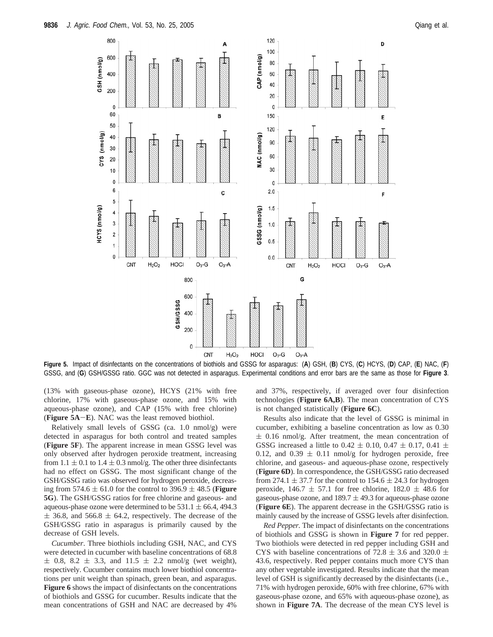

**Figure 5.** Impact of disinfectants on the concentrations of biothiols and GSSG for asparagus: (**A**) GSH, (**B**) CYS, (**C**) HCYS, (**D**) CAP, (**E**) NAC, (**F**) GSSG, and (**G**) GSH/GSSG ratio. GGC was not detected in asparagus. Experimental conditions and error bars are the same as those for **Figure 3**.

(13% with gaseous-phase ozone), HCYS (21% with free chlorine, 17% with gaseous-phase ozone, and 15% with aqueous-phase ozone), and CAP (15% with free chlorine) (**Figure 5A**-**E**). NAC was the least removed biothiol.

Relatively small levels of GSSG (ca. 1.0 nmol/g) were detected in asparagus for both control and treated samples (**Figure 5F**). The apparent increase in mean GSSG level was only observed after hydrogen peroxide treatment, increasing from  $1.1 \pm 0.1$  to  $1.4 \pm 0.3$  nmol/g. The other three disinfectants had no effect on GSSG. The most significant change of the GSH/GSSG ratio was observed for hydrogen peroxide, decreasing from 574.6  $\pm$  61.0 for the control to 396.9  $\pm$  48.5 (**Figure 5G**). The GSH/GSSG ratios for free chlorine and gaseous- and aqueous-phase ozone were determined to be  $531.1 \pm 66.4$ , 494.3  $\pm$  36.8, and 566.8  $\pm$  64.2, respectively. The decrease of the GSH/GSSG ratio in asparagus is primarily caused by the decrease of GSH levels.

*Cucumber*. Three biothiols including GSH, NAC, and CYS were detected in cucumber with baseline concentrations of 68.8  $\pm$  0.8, 8.2  $\pm$  3.3, and 11.5  $\pm$  2.2 nmol/g (wet weight), respectively. Cucumber contains much lower biothiol concentrations per unit weight than spinach, green bean, and asparagus. **Figure 6** shows the impact of disinfectants on the concentrations of biothiols and GSSG for cucumber. Results indicate that the mean concentrations of GSH and NAC are decreased by 4% and 37%, respectively, if averaged over four disinfection technologies (**Figure 6A,B**). The mean concentration of CYS is not changed statistically (**Figure 6C**).

Results also indicate that the level of GSSG is minimal in cucumber, exhibiting a baseline concentration as low as 0.30  $\pm$  0.16 nmol/g. After treatment, the mean concentration of GSSG increased a little to 0.42  $\pm$  0.10, 0.47  $\pm$  0.17, 0.41  $\pm$ 0.12, and 0.39  $\pm$  0.11 nmol/g for hydrogen peroxide, free chlorine, and gaseous- and aqueous-phase ozone, respectively (**Figure 6D**). In correspondence, the GSH/GSSG ratio decreased from 274.1  $\pm$  37.7 for the control to 154.6  $\pm$  24.3 for hydrogen peroxide,  $146.7 \pm 57.1$  for free chlorine,  $182.0 \pm 48.6$  for gaseous-phase ozone, and  $189.7 \pm 49.3$  for aqueous-phase ozone (**Figure 6E**). The apparent decrease in the GSH/GSSG ratio is mainly caused by the increase of GSSG levels after disinfection.

*Red Pepper.* The impact of disinfectants on the concentrations of biothiols and GSSG is shown in **Figure 7** for red pepper. Two biothiols were detected in red pepper including GSH and CYS with baseline concentrations of 72.8  $\pm$  3.6 and 320.0  $\pm$ 43.6, respectively. Red pepper contains much more CYS than any other vegetable investigated. Results indicate that the mean level of GSH is significantly decreased by the disinfectants (i.e., 71% with hydrogen peroxide, 60% with free chlorine, 67% with gaseous-phase ozone, and 65% with aqueous-phase ozone), as shown in **Figure 7A**. The decrease of the mean CYS level is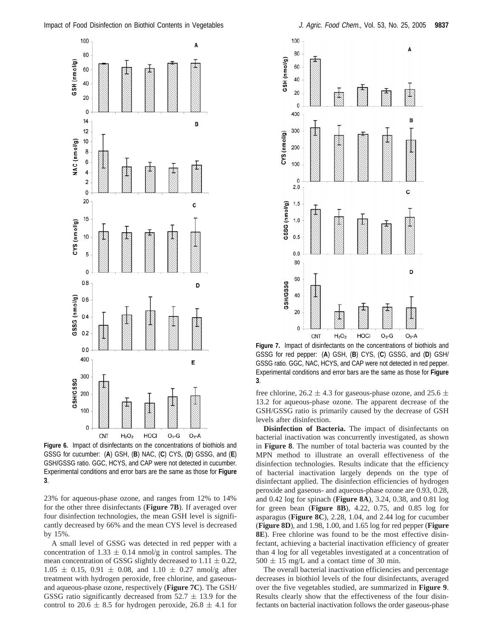

**Figure 6.** Impact of disinfectants on the concentrations of biothiols and GSSG for cucumber: (**A**) GSH, (**B**) NAC, (**C**) CYS, (**D**) GSSG, and (**E**) GSH/GSSG ratio. GGC, HCYS, and CAP were not detected in cucumber. Experimental conditions and error bars are the same as those for **Figure 3**.

23% for aqueous-phase ozone, and ranges from 12% to 14% for the other three disinfectants (**Figure 7B**). If averaged over four disinfection technologies, the mean GSH level is significantly decreased by 66% and the mean CYS level is decreased by 15%.

A small level of GSSG was detected in red pepper with a concentration of 1.33  $\pm$  0.14 nmol/g in control samples. The mean concentration of GSSG slightly decreased to  $1.11 \pm 0.22$ ,  $1.05 \pm 0.15$ ,  $0.91 \pm 0.08$ , and  $1.10 \pm 0.27$  nmol/g after treatment with hydrogen peroxide, free chlorine, and gaseousand aqueous-phase ozone, respectively (**Figure 7C**). The GSH/ GSSG ratio significantly decreased from  $52.7 \pm 13.9$  for the control to 20.6  $\pm$  8.5 for hydrogen peroxide, 26.8  $\pm$  4.1 for



**Figure 7.** Impact of disinfectants on the concentrations of biothiols and GSSG for red pepper: (**A**) GSH, (**B**) CYS, (**C**) GSSG, and (**D**) GSH/ GSSG ratio. GGC, NAC, HCYS, and CAP were not detected in red pepper. Experimental conditions and error bars are the same as those for **Figure 3**.

free chlorine,  $26.2 \pm 4.3$  for gaseous-phase ozone, and  $25.6 \pm$ 13.2 for aqueous-phase ozone. The apparent decrease of the GSH/GSSG ratio is primarily caused by the decrease of GSH levels after disinfection.

**Disinfection of Bacteria.** The impact of disinfectants on bacterial inactivation was concurrently investigated, as shown in **Figure 8**. The number of total bacteria was counted by the MPN method to illustrate an overall effectiveness of the disinfection technologies. Results indicate that the efficiency of bacterial inactivation largely depends on the type of disinfectant applied. The disinfection efficiencies of hydrogen peroxide and gaseous- and aqueous-phase ozone are 0.93, 0.28, and 0.42 log for spinach (**Figure 8A**), 3.24, 0.38, and 0.81 log for green bean (**Figure 8B**), 4.22, 0.75, and 0.85 log for asparagus (**Figure 8C**), 2.28, 1.04, and 2.44 log for cucumber (**Figure 8D**), and 1.98, 1.00, and 1.65 log for red pepper (**Figure 8E**). Free chlorine was found to be the most effective disinfectant, achieving a bacterial inactivation efficiency of greater than 4 log for all vegetables investigated at a concentration of  $500 \pm 15$  mg/L and a contact time of 30 min.

The overall bacterial inactivation efficiencies and percentage decreases in biothiol levels of the four disinfectants, averaged over the five vegetables studied, are summarized in **Figure 9**. Results clearly show that the effectiveness of the four disinfectants on bacterial inactivation follows the order gaseous-phase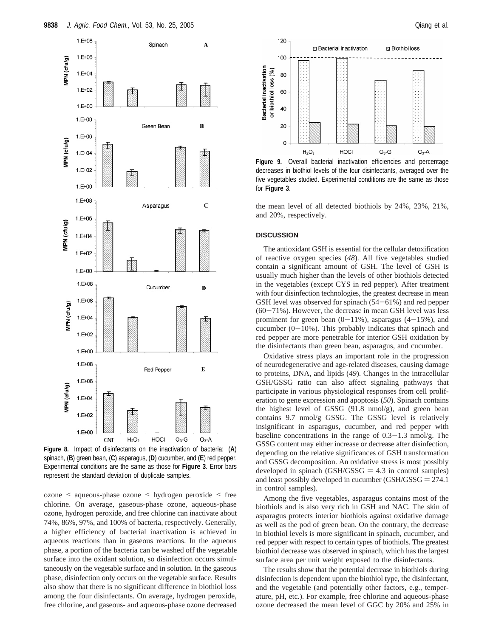

**Figure 8.** Impact of disinfectants on the inactivation of bacteria: (**A**) spinach, (**B**) green bean, (**C**) asparagus, (**D**) cucumber, and (**E**) red pepper. Experimental conditions are the same as those for **Figure 3**. Error bars represent the standard deviation of duplicate samples.

ozone < aqueous-phase ozone < hydrogen peroxide < free chlorine. On average, gaseous-phase ozone, aqueous-phase ozone, hydrogen peroxide, and free chlorine can inactivate about 74%, 86%, 97%, and 100% of bacteria, respectively. Generally, a higher efficiency of bacterial inactivation is achieved in aqueous reactions than in gaseous reactions. In the aqueous phase, a portion of the bacteria can be washed off the vegetable surface into the oxidant solution, so disinfection occurs simultaneously on the vegetable surface and in solution. In the gaseous phase, disinfection only occurs on the vegetable surface. Results also show that there is no significant difference in biothiol loss among the four disinfectants. On average, hydrogen peroxide, free chlorine, and gaseous- and aqueous-phase ozone decreased



**Figure 9.** Overall bacterial inactivation efficiencies and percentage decreases in biothiol levels of the four disinfectants, averaged over the five vegetables studied. Experimental conditions are the same as those for **Figure 3**.

the mean level of all detected biothiols by 24%, 23%, 21%, and 20%, respectively.

### **DISCUSSION**

The antioxidant GSH is essential for the cellular detoxification of reactive oxygen species (*48*). All five vegetables studied contain a significant amount of GSH. The level of GSH is usually much higher than the levels of other biothiols detected in the vegetables (except CYS in red pepper). After treatment with four disinfection technologies, the greatest decrease in mean GSH level was observed for spinach (54-61%) and red pepper  $(60-71\%)$ . However, the decrease in mean GSH level was less prominent for green bean  $(0-11\%)$ , asparagus  $(4-15\%)$ , and cucumber  $(0-10\%)$ . This probably indicates that spinach and red pepper are more penetrable for interior GSH oxidation by the disinfectants than green bean, asparagus, and cucumber.

Oxidative stress plays an important role in the progression of neurodegenerative and age-related diseases, causing damage to proteins, DNA, and lipids (*49*). Changes in the intracellular GSH/GSSG ratio can also affect signaling pathways that participate in various physiological responses from cell proliferation to gene expression and apoptosis (*50*). Spinach contains the highest level of GSSG (91.8 nmol/g), and green bean contains 9.7 nmol/g GSSG. The GSSG level is relatively insignificant in asparagus, cucumber, and red pepper with baseline concentrations in the range of  $0.3-1.3$  nmol/g. The GSSG content may either increase or decrease after disinfection, depending on the relative significances of GSH transformation and GSSG decomposition. An oxidative stress is most possibly developed in spinach  $(GSH/GSSG = 4.3$  in control samples) and least possibly developed in cucumber  $(GSH/GSSG = 274.1)$ in control samples).

Among the five vegetables, asparagus contains most of the biothiols and is also very rich in GSH and NAC. The skin of asparagus protects interior biothiols against oxidative damage as well as the pod of green bean. On the contrary, the decrease in biothiol levels is more significant in spinach, cucumber, and red pepper with respect to certain types of biothiols. The greatest biothiol decrease was observed in spinach, which has the largest surface area per unit weight exposed to the disinfectants.

The results show that the potential decrease in biothiols during disinfection is dependent upon the biothiol type, the disinfectant, and the vegetable (and potentially other factors, e.g., temperature, pH, etc.). For example, free chlorine and aqueous-phase ozone decreased the mean level of GGC by 20% and 25% in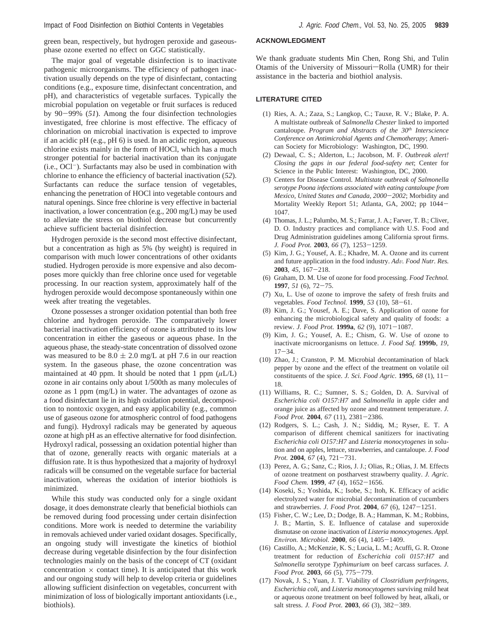green bean, respectively, but hydrogen peroxide and gaseousphase ozone exerted no effect on GGC statistically.

The major goal of vegetable disinfection is to inactivate pathogenic microorganisms. The efficiency of pathogen inactivation usually depends on the type of disinfectant, contacting conditions (e.g., exposure time, disinfectant concentration, and pH), and characteristics of vegetable surfaces. Typically the microbial population on vegetable or fruit surfaces is reduced by 90-99% (*51*). Among the four disinfection technologies investigated, free chlorine is most effective. The efficacy of chlorination on microbial inactivation is expected to improve if an acidic pH (e.g., pH 6) is used. In an acidic region, aqueous chlorine exists mainly in the form of HOCl, which has a much stronger potential for bacterial inactivation than its conjugate (i.e., OCl-). Surfactants may also be used in combination with chlorine to enhance the efficiency of bacterial inactivation (*52*). Surfactants can reduce the surface tension of vegetables, enhancing the penetration of HOCl into vegetable contours and natural openings. Since free chlorine is very effective in bacterial inactivation, a lower concentration (e.g., 200 mg/L) may be used to alleviate the stress on biothiol decrease but concurrently achieve sufficient bacterial disinfection.

Hydrogen peroxide is the second most effective disinfectant, but a concentration as high as 5% (by weight) is required in comparison with much lower concentrations of other oxidants studied. Hydrogen peroxide is more expensive and also decomposes more quickly than free chlorine once used for vegetable processing. In our reaction system, approximately half of the hydrogen peroxide would decompose spontaneously within one week after treating the vegetables.

Ozone possesses a stronger oxidation potential than both free chlorine and hydrogen peroxide. The comparatively lower bacterial inactivation efficiency of ozone is attributed to its low concentration in either the gaseous or aqueous phase. In the aqueous phase, the steady-state concentration of dissolved ozone was measured to be  $8.0 \pm 2.0$  mg/L at pH 7.6 in our reaction system. In the gaseous phase, the ozone concentration was maintained at 40 ppm. It should be noted that 1 ppm (*µ*L/L) ozone in air contains only about 1/500th as many molecules of ozone as 1 ppm (mg/L) in water. The advantages of ozone as a food disinfectant lie in its high oxidation potential, decomposition to nontoxic oxygen, and easy applicability (e.g., common use of gaseous ozone for atmospheric control of food pathogens and fungi). Hydroxyl radicals may be generated by aqueous ozone at high pH as an effective alternative for food disinfection. Hydroxyl radical, possessing an oxidation potential higher than that of ozone, generally reacts with organic materials at a diffusion rate. It is thus hypothesized that a majority of hydroxyl radicals will be consumed on the vegetable surface for bacterial inactivation, whereas the oxidation of interior biothiols is minimized.

While this study was conducted only for a single oxidant dosage, it does demonstrate clearly that beneficial biothiols can be removed during food processing under certain disinfection conditions. More work is needed to determine the variability in removals achieved under varied oxidant dosages. Specifically, an ongoing study will investigate the kinetics of biothiol decrease during vegetable disinfection by the four disinfection technologies mainly on the basis of the concept of CT (oxidant concentration  $\times$  contact time). It is anticipated that this work and our ongoing study will help to develop criteria or guidelines allowing sufficient disinfection on vegetables, concurrent with minimization of loss of biologically important antioxidants (i.e., biothiols).

### **ACKNOWLEDGMENT**

We thank graduate students Min Chen, Rong Shi, and Tulin Otamis of the University of Missouri-Rolla (UMR) for their assistance in the bacteria and biothiol analysis.

#### **LITERATURE CITED**

- (1) Ries, A. A.; Zaza, S.; Langkop, C.; Tauxe, R. V.; Blake, P. A. A multistate outbreak of *Salmonella Chester* linked to imported cantaloupe. *Program and Abstracts of the 30th Interscience Conference on Antimicrobial Agents and Chemotherapy*; American Society for Microbiology: Washington, DC, 1990.
- (2) Dewaal, C. S.; Alderton, L.; Jacobson, M. F. *Outbreak alert! Closing the gaps in our federal food-safety net*; Center for Science in the Public Interest: Washington, DC, 2000.
- (3) Centers for Disease Control. *Multistate outbreak of Salmonella serotype Poona infections associated with eating cantaloupe from Mexico, United States and Canada, 2000*-*2002*; Morbidity and Mortality Weekly Report 51; Atlanta, GA, 2002; pp 1044- 1047.
- (4) Thomas, J. L.; Palumbo, M. S.; Farrar, J. A.; Farver, T. B.; Cliver, D. O. Industry practices and compliance with U.S. Food and Drug Administration guidelines among California sprout firms. *J. Food Prot.* **<sup>2003</sup>**, *<sup>66</sup>* (7), 1253-1259.
- (5) Kim, J. G.; Yousef, A. E.; Khadre, M. A. Ozone and its current and future application in the food industry. *Ad*V*. Food Nutr. Res.* **<sup>2003</sup>**, *<sup>45</sup>*, 167-218.
- (6) Graham, D. M. Use of ozone for food processing. *Food Technol.* **<sup>1997</sup>**, *<sup>51</sup>* (6), 72-75.
- (7) Xu, L. Use of ozone to improve the safety of fresh fruits and vegetables. *Food Technol.* **<sup>1999</sup>**, *<sup>53</sup>* (10), 58-61.
- (8) Kim, J. G.; Yousef, A. E.; Dave, S. Application of ozone for enhancing the microbiological safety and quality of foods: a review. *J. Food Prot.* **1999a**, *<sup>62</sup>* (9), 1071-1087.
- (9) Kim, J. G.; Yousef, A. E.; Chism, G. W. Use of ozone to inactivate microorganisms on lettuce. *J. Food Saf.* **1999b**, *19*,  $17 - 34.$
- (10) Zhao, J.; Cranston, P. M. Microbial decontamination of black pepper by ozone and the effect of the treatment on volatile oil constituents of the spice. *J. Sci. Food Agric.* **<sup>1995</sup>**, *<sup>68</sup>* (1), 11- 18.
- (11) Williams, R. C.; Sumner, S. S.; Golden, D. A. Survival of *Escherichia coli O157:H7* and *Salmonella* in apple cider and orange juice as affected by ozone and treatment temperature. *J. Food Prot.* **<sup>2004</sup>**, *<sup>67</sup>* (11), 2381-2386.
- (12) Rodgers, S. L.; Cash, J. N.; Siddiq, M.; Ryser, E. T. A comparison of different chemical sanitizers for inactivating *Escherichia coli O157:H7* and *Listeria monocytogenes* in solution and on apples, lettuce, strawberries, and cantaloupe. *J. Food Prot.* **<sup>2004</sup>**, *<sup>67</sup>* (4), 721-731.
- (13) Perez, A. G.; Sanz, C.; Rios, J. J.; Olias, R.; Olias, J. M. Effects of ozone treatment on postharvest strawberry quality. *J. Agric. Food Chem.* **<sup>1999</sup>**, *<sup>47</sup>* (4), 1652-1656.
- (14) Koseki, S.; Yoshida, K.; Isobe, S.; Itoh, K. Efficacy of acidic electrolyzed water for microbial decontamination of cucumbers and strawberries. *J. Food Prot.* **<sup>2004</sup>**, *<sup>67</sup>* (6), 1247-1251.
- (15) Fisher, C. W.; Lee, D.; Dodge, B. A.; Hamman, K. M.; Robbins, J. B.; Martin, S. E. Influence of catalase and superoxide dismutase on ozone inactivation of *Listeria monocytogenes*. *Appl. En*V*iron. Microbiol.* **<sup>2000</sup>**, *<sup>66</sup>* (4), 1405-1409.
- (16) Castillo, A.; McKenzie, K. S.; Lucia, L. M.; Acuffi, G. R. Ozone treatment for reduction of *Escherichia coli 0157:H7* and *Salmonella* serotype *Typhimurium* on beef carcass surfaces. *J. Food Prot.* **<sup>2003</sup>**, *<sup>66</sup>* (5), 775-779.
- (17) Novak, J. S.; Yuan, J. T. Viability of *Clostridium perfringens, Escherichia coli*, and *Listeria monocytogenes* surviving mild heat or aqueous ozone treatment on beef followed by heat, alkali, or salt stress. *J. Food Prot*. **<sup>2003</sup>**, *<sup>66</sup>* (3), 382-389.